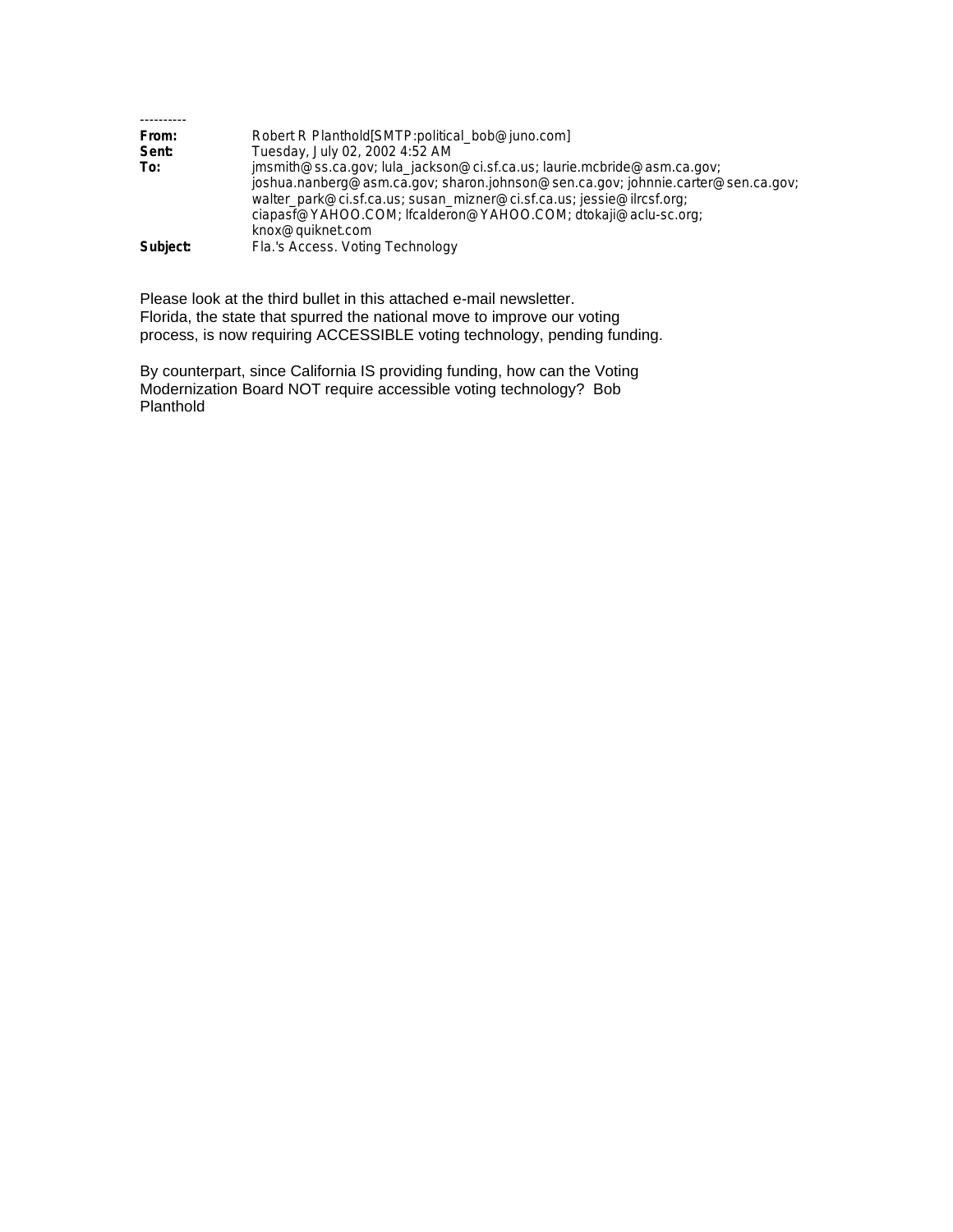| From:    | Robert R Planthold [SMTP:political_bob@juno.com]                                 |
|----------|----------------------------------------------------------------------------------|
| Sent:    | Tuesday, July 02, 2002 4:52 AM                                                   |
| To:      | jmsmith@ss.ca.gov; lula_jackson@ci.sf.ca.us; laurie.mcbride@asm.ca.gov;          |
|          | joshua.nanberg@asm.ca.gov; sharon.johnson@sen.ca.gov; johnnie.carter@sen.ca.gov; |
|          | walter_park@ci.sf.ca.us; susan_mizner@ci.sf.ca.us; jessie@ilrcsf.org;            |
|          | ciapasf@YAHOO.COM; lfcalderon@YAHOO.COM; dtokaji@aclu-sc.org;                    |
|          | knox@quiknet.com                                                                 |
| Subject: | Fla.'s Access. Voting Technology                                                 |

Please look at the third bullet in this attached e-mail newsletter. Florida, the state that spurred the national move to improve our voting process, is now requiring ACCESSIBLE voting technology, pending funding.

By counterpart, since California IS providing funding, how can the Voting Modernization Board NOT require accessible voting technology? Bob Planthold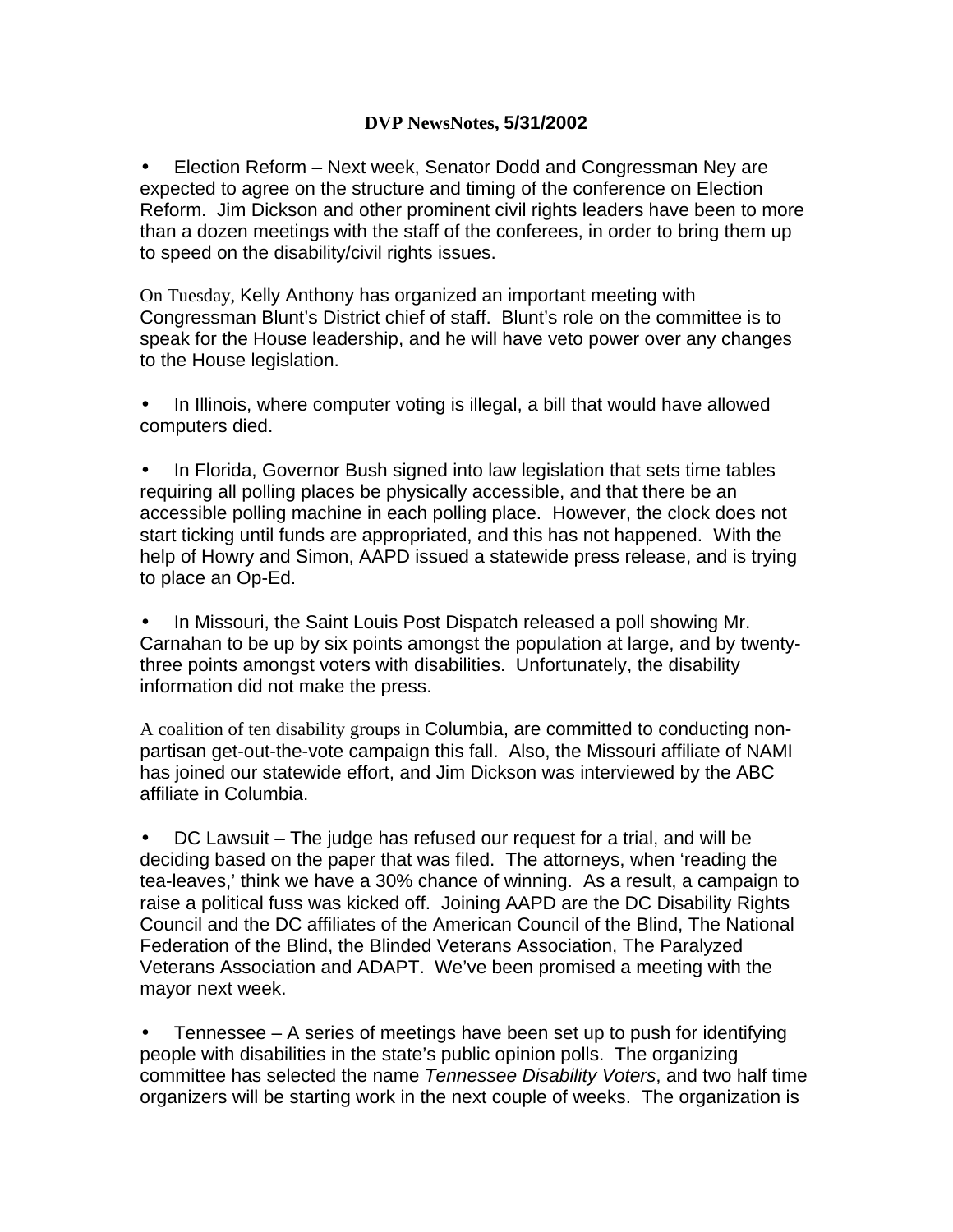## **DVP NewsNotes, 5/31/2002**

• Election Reform – Next week, Senator Dodd and Congressman Ney are expected to agree on the structure and timing of the conference on Election Reform. Jim Dickson and other prominent civil rights leaders have been to more than a dozen meetings with the staff of the conferees, in order to bring them up to speed on the disability/civil rights issues.

On Tuesday, Kelly Anthony has organized an important meeting with Congressman Blunt's District chief of staff. Blunt's role on the committee is to speak for the House leadership, and he will have veto power over any changes to the House legislation.

• In Illinois, where computer voting is illegal, a bill that would have allowed computers died.

• In Florida, Governor Bush signed into law legislation that sets time tables requiring all polling places be physically accessible, and that there be an accessible polling machine in each polling place. However, the clock does not start ticking until funds are appropriated, and this has not happened. With the help of Howry and Simon, AAPD issued a statewide press release, and is trying to place an Op-Ed.

• In Missouri, the Saint Louis Post Dispatch released a poll showing Mr. Carnahan to be up by six points amongst the population at large, and by twentythree points amongst voters with disabilities. Unfortunately, the disability information did not make the press.

A coalition of ten disability groups in Columbia, are committed to conducting nonpartisan get-out-the-vote campaign this fall. Also, the Missouri affiliate of NAMI has joined our statewide effort, and Jim Dickson was interviewed by the ABC affiliate in Columbia.

• DC Lawsuit – The judge has refused our request for a trial, and will be deciding based on the paper that was filed. The attorneys, when 'reading the tea-leaves,' think we have a 30% chance of winning. As a result, a campaign to raise a political fuss was kicked off. Joining AAPD are the DC Disability Rights Council and the DC affiliates of the American Council of the Blind, The National Federation of the Blind, the Blinded Veterans Association, The Paralyzed Veterans Association and ADAPT. We've been promised a meeting with the mayor next week.

• Tennessee – A series of meetings have been set up to push for identifying people with disabilities in the state's public opinion polls. The organizing committee has selected the name *Tennessee Disability Voters*, and two half time organizers will be starting work in the next couple of weeks. The organization is